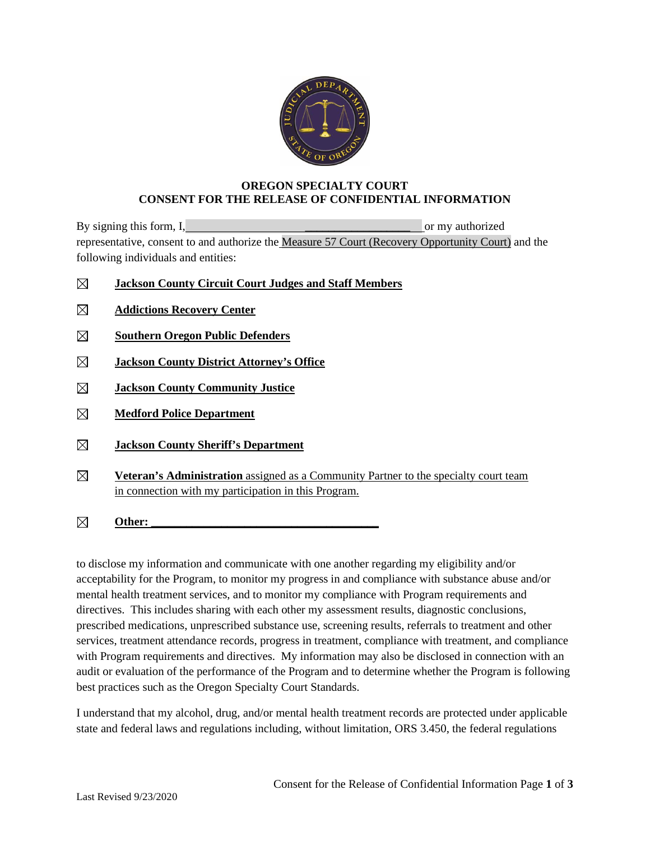

## **OREGON SPECIALTY COURT CONSENT FOR THE RELEASE OF CONFIDENTIAL INFORMATION**

By signing this form, I,  $\blacksquare$ representative, consent to and authorize the Measure 57 Court (Recovery Opportunity Court) and the following individuals and entities:

- ⊠ **Jackson County Circuit Court Judges and Staff Members**
- $\boxtimes$ **Addictions Recovery Center**
- **Southern Oregon Public Defenders**
- **Jackson County District Attorney's Office**   $\boxtimes$
- $\boxtimes$ **Jackson County Community Justice**
- $\boxtimes$ **Medford Police Department**
- $\boxtimes$ **Jackson County Sheriff's Department**
- $\boxtimes$ **Veteran's Administration** assigned as a Community Partner to the specialty court team in connection with my participation in this Program.
- $\boxtimes$ Other:

to disclose my information and communicate with one another regarding my eligibility and/or acceptability for the Program, to monitor my progress in and compliance with substance abuse and/or mental health treatment services, and to monitor my compliance with Program requirements and directives. This includes sharing with each other my assessment results, diagnostic conclusions, prescribed medications, unprescribed substance use, screening results, referrals to treatment and other services, treatment attendance records, progress in treatment, compliance with treatment, and compliance with Program requirements and directives. My information may also be disclosed in connection with an audit or evaluation of the performance of the Program and to determine whether the Program is following best practices such as the Oregon Specialty Court Standards.

I understand that my alcohol, drug, and/or mental health treatment records are protected under applicable state and federal laws and regulations including, without limitation, ORS 3.450, the federal regulations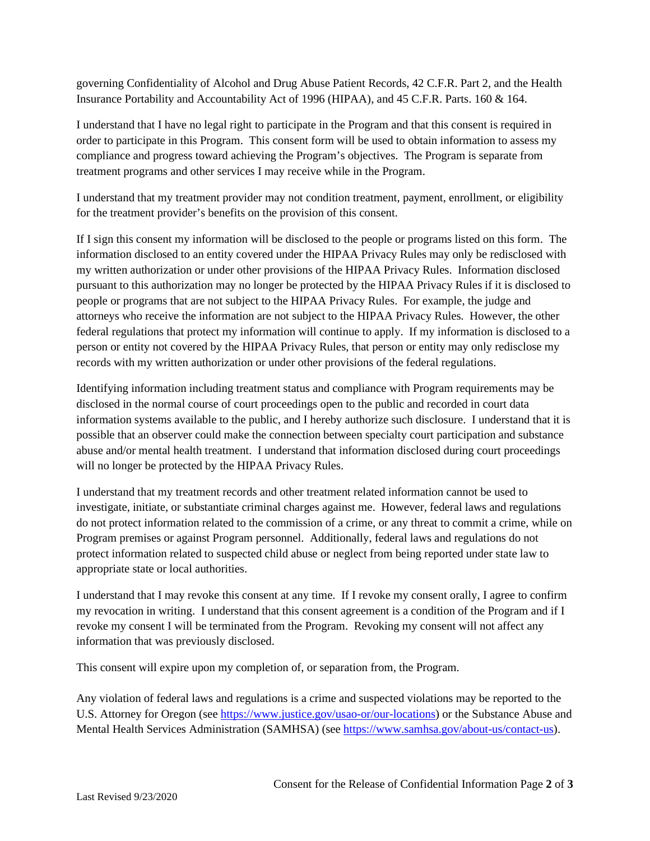governing Confidentiality of Alcohol and Drug Abuse Patient Records, 42 C.F.R. Part 2, and the Health Insurance Portability and Accountability Act of 1996 (HIPAA), and 45 C.F.R. Parts. 160 & 164.

I understand that I have no legal right to participate in the Program and that this consent is required in order to participate in this Program. This consent form will be used to obtain information to assess my compliance and progress toward achieving the Program's objectives. The Program is separate from treatment programs and other services I may receive while in the Program.

I understand that my treatment provider may not condition treatment, payment, enrollment, or eligibility for the treatment provider's benefits on the provision of this consent.

If I sign this consent my information will be disclosed to the people or programs listed on this form. The information disclosed to an entity covered under the HIPAA Privacy Rules may only be redisclosed with my written authorization or under other provisions of the HIPAA Privacy Rules. Information disclosed pursuant to this authorization may no longer be protected by the HIPAA Privacy Rules if it is disclosed to people or programs that are not subject to the HIPAA Privacy Rules. For example, the judge and attorneys who receive the information are not subject to the HIPAA Privacy Rules. However, the other federal regulations that protect my information will continue to apply. If my information is disclosed to a person or entity not covered by the HIPAA Privacy Rules, that person or entity may only redisclose my records with my written authorization or under other provisions of the federal regulations.

Identifying information including treatment status and compliance with Program requirements may be disclosed in the normal course of court proceedings open to the public and recorded in court data information systems available to the public, and I hereby authorize such disclosure. I understand that it is possible that an observer could make the connection between specialty court participation and substance abuse and/or mental health treatment. I understand that information disclosed during court proceedings will no longer be protected by the HIPAA Privacy Rules.

I understand that my treatment records and other treatment related information cannot be used to investigate, initiate, or substantiate criminal charges against me. However, federal laws and regulations do not protect information related to the commission of a crime, or any threat to commit a crime, while on Program premises or against Program personnel. Additionally, federal laws and regulations do not protect information related to suspected child abuse or neglect from being reported under state law to appropriate state or local authorities.

I understand that I may revoke this consent at any time. If I revoke my consent orally, I agree to confirm my revocation in writing. I understand that this consent agreement is a condition of the Program and if I revoke my consent I will be terminated from the Program. Revoking my consent will not affect any information that was previously disclosed.

This consent will expire upon my completion of, or separation from, the Program.

Any violation of federal laws and regulations is a crime and suspected violations may be reported to the U.S. Attorney for Oregon (see [https://www.justice.gov/usao-or/our-locations\)](https://www.justice.gov/usao-or/our-locations) or the Substance Abuse and Mental Health Services Administration (SAMHSA) (see [https://www.samhsa.gov/about-us/contact-us\)](https://www.samhsa.gov/about-us/contact-us).